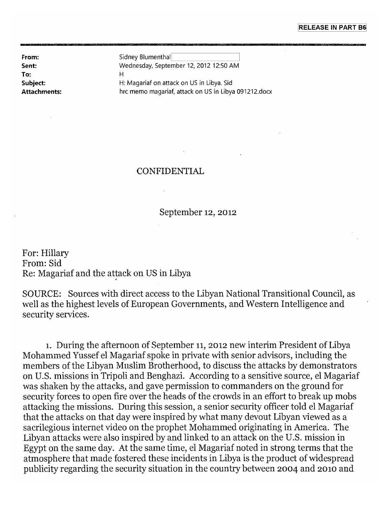**To:** 

**From:** Sidney Blumenthal **Sent:** Wednesday, September 12, 2012 12:50 AM Н **Subject:** H: Magariaf on attack on US in Libya. Sid **Attachments:** hrc memo magariaf, attack on US in Libya 091212.docx

## CONFIDENTIAL

September 12, 2012

For: Hillary From: Sid Re: Magariaf and the attack on US in Libya

SOURCE: Sources with direct access to the Libyan National Transitional Council, as well as the highest levels of European Governments, and Western Intelligence and security services.

1. During the afternoon of September 11, 2012 new interim President of Libya Mohammed Yussef el Magariaf spoke in private with senior advisors, including the members of the Libyan Muslim Brotherhood, to discuss the attacks by demonstrators on U.S. missions in Tripoli and Benghazi. According to a sensitive source, el Magariaf was shaken by the attacks, and gave permission to commanders on the ground for security forces to open fire over the heads of the crowds in an effort to break up mobs attacking the missions. During this session, a senior security officer told el Magariaf that the attacks on that day were inspired by what many devout Libyan viewed as a sacrilegious internet video on the prophet Mohammed originating in America. The Libyan attacks were also inspired by and linked to an attack on the U.S. mission in Egypt on the same day. At the same time, el Magariaf noted in strong terms that the atmosphere that made fostered these incidents in Libya is the product of widespread publicity regarding the security situation in the country between 2004 and 2010 and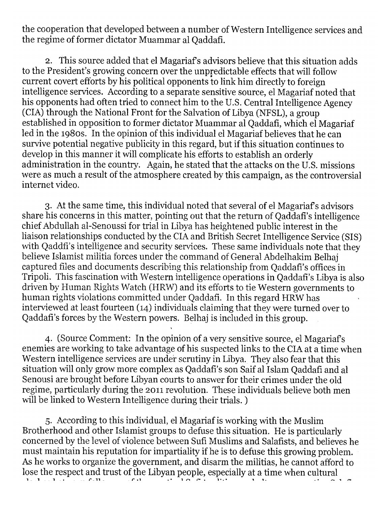the cooperation that developed between a number of Western Intelligence services and the regime of former dictator Muammar al Qaddafi.

2. This source added that el Magariafs advisors believe that this situation adds to the President's growing concern over the unpredictable effects that will follow current covert efforts by his political opponents to link him directly to foreign intelligence services. According to a separate sensitive source, el Magariaf noted that his opponents had often tried to connect him to the U.S. Central Intelligence Agency (CIA) through the National Front for the Salvation of Libya (NFSL), a group established in opposition to former dictator Muammar al Qaddafi, which el Magariaf led in the 1980s. In the opinion of this individual el Magariaf believes that he can survive potential negative publicity in this regard, but if this situation continues to develop in this manner it will complicate his efforts to establish an orderly administration in the country. Again, he stated that the attacks on the U.S. missions were as much a result of the atmosphere created by this campaign, as the controversial internet video.

3. At the same time, this individual noted that several of el Magariaf s advisors share his concerns in this matter, pointing out that the return of Qaddafi's intelligence chief Abdullah al-Senoussi for trial in Libya has heightened public interest in the liaison relationships conducted by the CIA and British Secret Intelligence Service (SIS) with. Qaddfi's intelligence and security services. These same individuals note that they believe Islamist militia forces under the command of General Abdelhakim Belhaj captured files and documents describing this relationship from Qaddafi's offices in Tripoli. This fascination with Western intelligence operations in Qaddafi's Libya is also driven by Human Rights Watch (HRW) and its efforts to tie Western governments to human rights violations committed under Qaddafi. In this regard HRW has interviewed at least fourteen (14) individuals claiming that they were turned over to Qaddafi's forces by the Western powers. Belhaj is included in this group.

4. (Source Comment: In the opinion of a very sensitive source, el Magariafs enemies are working to take advantage of his suspected links to the CIA at a time when Western intelligence services are under scrutiny in Libya.. They also fear that this situation will only grow more complex as Qaddafi's son Saif al Islam Qaddafi and al Senousi are brought before Libyan courts to answer for their crimes under the old regime, particularly during the 2011 revolution. These individuals believe both men will be linked to Western Intelligence during their trials. )

5. According to this individual, el Magariaf is working with the Muslim Brotherhood and other Islamist groups to defuse this situation. He is particularly concerned by the level of violence between Sufi Muslims and Salafists, and believes he must maintain his reputation for impartiality if he is to defuse this growing problem. As he works to organize the government, and disarm the militias, he cannot afford to lose the respect and trust of the Libyan people, especially at a time when cultural classification follows of the mystical Sufi tradition and ultra-conservative Salafist tradition and ultra-conservative Salafist tradition of the mysterial Salafist tradition of the mysterial Sufficient Salafist tradition o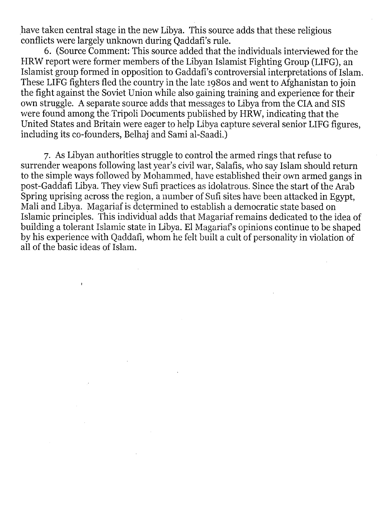have taken central stage in the new Libya. This source adds that these religious conflicts were largely unknown during Qaddafi's rule.

6. (Source Comment: This source added that the individuals interviewed for the HRW report were former members of the Libyan Islamist Fighting Group (LIFG), an Islamist group formed in opposition to Gaddafi's controversial interpretations of Islam. These LIFG fighters fled the country in the late 1980s and went to Afghanistan to join the fight against the Soviet Union while also gaining training and experience for their own struggle. A separate source adds that messages to Libya from the CIA and SIS were found among the Tripoli Documents published by HRW, indicating that the United States and Britain were eager to help Libya capture several senior LIFG figures, including its co-founders, Belhaj and Sami al-Saadi.)

7. As Libyan authorities struggle to control the armed rings that refuse to surrender weapons following last year's civil war, Salafis, who say Islam should return to the simple ways followed by Mohammed, have established their own armed gangs in post-Gaddafi Libya. They view Sufi practices as idolatrous. Since the start of the Arab Spring uprising across the region, a number of Sufi sites have been attacked in Egypt, Mali and Libya. Magariaf is determined to establish a democratic state based on Islamic principles. This individual adds that Magariaf remains dedicated to the idea of building a tolerant Islamic state in Libya. El Magariafs opinions continue to be shaped by his experience with Qaddafi, whom he felt built a cult of personality in violation of all of the basic ideas of Islam.

 $\ddot{\phantom{1}}$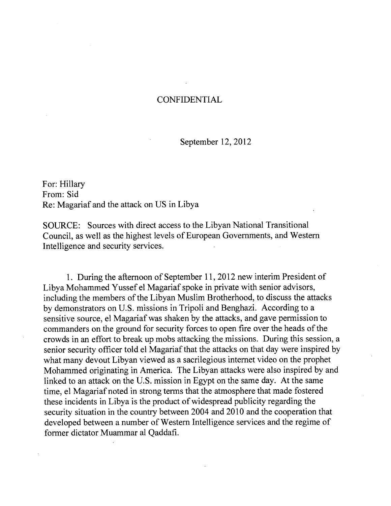## **CONFIDENTIAL**

## September 12, 2012

For: Hillary From: Sid Re: Magariaf and the attack on US in Libya

SOURCE: Sources with direct access to the Libyan National Transitional Council, as well as the highest levels of European Governments, and Western Intelligence and security services.

1. During the afternoon of September 11, 2012 new interim President of Libya Mohammed Yussef el Magariaf spoke in private with senior advisors, including the members of the Libyan Muslim Brotherhood, to discuss the attacks by demonstrators on U.S. missions in Tripoli and Benghazi. According to a sensitive source, el Magariaf was shaken by the attacks, and gave permission to commanders on the ground for security forces to open fire over the heads of the crowds in an effort to break up mobs attacking the missions. During this session, a senior security officer told el Magariaf that the attacks on that day were inspired by what many devout Libyan viewed as a sacrilegious internet video on the prophet Mohammed originating in America. The Libyan attacks were also inspired by and linked to an attack on the U.S. mission in Egypt on the same day. At the same time, el Magariaf noted in strong terms that the atmosphere that made fostered these incidents in Libya is the product of widespread publicity regarding the security situation in the country between 2004 and 2010 and the cooperation that developed between a number of Western Intelligence services and the regime of former dictator Muammar al Qaddafi.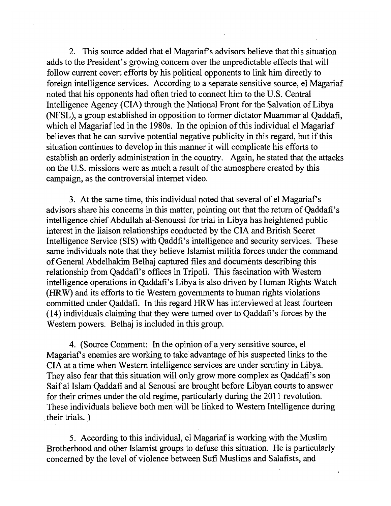2. This source added that el Magariaf s advisors believe that this situation adds to the President's growing concern over the unpredictable effects that will follow current covert efforts by his political opponents to link him directly to foreign intelligence services. According to a separate sensitive source, el Magariaf noted that his opponents had often tried to connect him to the U.S. Central Intelligence Agency (CIA) through the National Front for the Salvation of Libya (NFSL), a group established in opposition to former dictator Muammar al Qaddafi, which el Magariaf led in the 1980s. In the opinion of this individual el Magariaf believes that he can survive potential negative publicity in this regard, but if this situation continues to develop in this manner it will complicate his efforts to establish an orderly administration in the country. Again, he stated that the attacks on the U.S. missions were as much a result of the atmosphere created by this campaign, as the controversial internet video.

3. At the same time, this individual noted that several of el Magariaf's advisors share his concerns in this matter, pointing out that the return of Qaddafi's intelligence chief Abdullah al-Senoussi for trial in Libya has heightened public interest in the liaison relationships conducted by the CIA and British Secret Intelligence Service (SIS) with Qaddfi's intelligence and security services. These same individuals note that they believe Islamist militia forces under the command of General Abdelhakim Belhaj captured files and documents describing this relationship from Qaddafi's offices in Tripoli. This fascination with Western intelligence operations in Qaddafi's Libya is also driven by Human Rights Watch (HRW) and its efforts to tie Western governments to human rights violations committed under Qaddafi. In this regard HRW has interviewed at least fourteen (14) individuals claiming that they were turned over to Qaddafi's forces by the Western powers. Belhaj is included in this group.

4. (Source Comment: In the opinion of a very sensitive source, el Magariaf's enemies are working to take advantage of his suspected links to the CIA at a time when Western intelligence services are under scrutiny in Libya. They also fear that this situation will only grow more complex as Qaddafi's son Saif al Islam Qaddafi and al Senousi are brought before Libyan courts to answer for their crimes under the old regime, particularly during the 2011 revolution. These individuals believe both men will be linked to Western Intelligence during their trials. )

5. According to this individual, el Magariaf is working with the Muslim Brotherhood and other Islamist groups to defuse this situation. He is particularly concerned by the level of violence between Sufi Muslims and Salafists, and